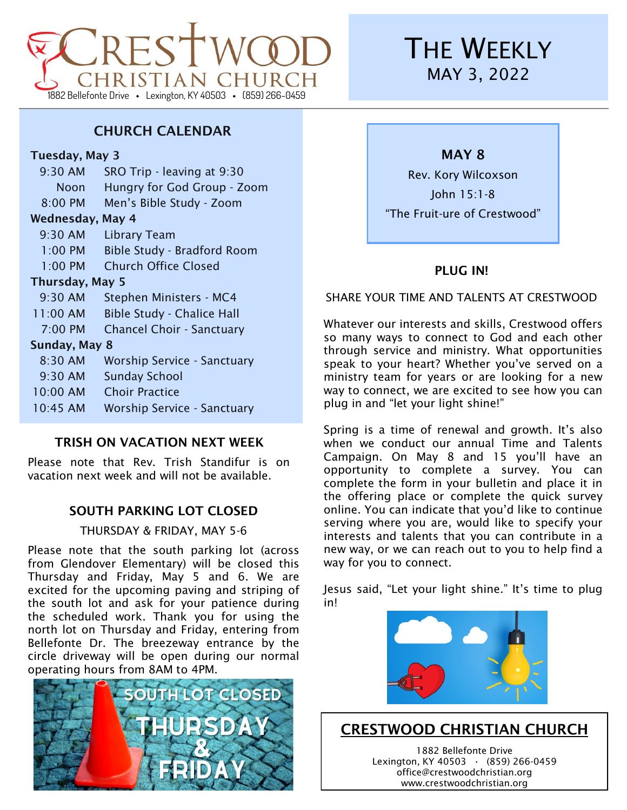# IRISTIAN CHURC 1882 Bellefonte Drive · Lexington, KY 40503 · (859) 266-0459

# **THE WEEKLY** MAY 3, 2022

### CHURCH CALENDAR

### Tuesday, May 3

9:30 AM SRO Trip - leaving at 9:30 Noon Hungry for God Group - Zoom 8:00 PM Men's Bible Study - Zoom Wednesday, May 4 9:30 AM Library Team 1:00 PM Bible Study - Bradford Room 1:00 PM Church Office Closed Thursday, May 5 9:30 AM Stephen Ministers - MC4 11:00 AM Bible Study - Chalice Hall 7:00 PM Chancel Choir - Sanctuary Sunday, May 8 8:30 AM Worship Service - Sanctuary 9:30 AM Sunday School 10:00 AM Choir Practice 10:45 AM Worship Service - Sanctuary

### TRISH ON VACATION NEXT WEEK

Please note that Rev. Trish Standifur is on vacation next week and will not be available.

### SOUTH PARKING LOT CLOSED

### THURSDAY & FRIDAY, MAY 5-6

Please note that the south parking lot (across from Glendover Elementary) will be closed this Thursday and Friday, May 5 and 6. We are excited for the upcoming paving and striping of the south lot and ask for your patience during the scheduled work. Thank you for using the north lot on Thursday and Friday, entering from Bellefonte Dr. The breezeway entrance by the circle driveway will be open during our normal operating hours from 8AM to 4PM.



MAY 8

Rev. Kory Wilcoxson John 15:1-8 "The Fruit-ure of Crestwood"

### PLUG IN!

SHARE YOUR TIME AND TALENTS AT CRESTWOOD

Whatever our interests and skills, Crestwood offers so many ways to connect to God and each other through service and ministry. What opportunities speak to your heart? Whether you've served on a ministry team for years or are looking for a new way to connect, we are excited to see how you can plug in and "let your light shine!"

Spring is a time of renewal and growth. It's also when we conduct our annual Time and Talents Campaign. On May 8 and 15 you'll have an opportunity to complete a survey. You can complete the form in your bulletin and place it in the offering place or complete the quick survey online. You can indicate that you'd like to continue serving where you are, would like to specify your interests and talents that you can contribute in a new way, or we can reach out to you to help find a way for you to connect.

Jesus said, "Let your light shine." It's time to plug in!



### CRESTWOOD CHRISTIAN CHURCH

1882 Bellefonte Drive Lexington, KY 40503 **·** (859) 266-0459 office@crestwoodchristian.org www.crestwoodchristian.org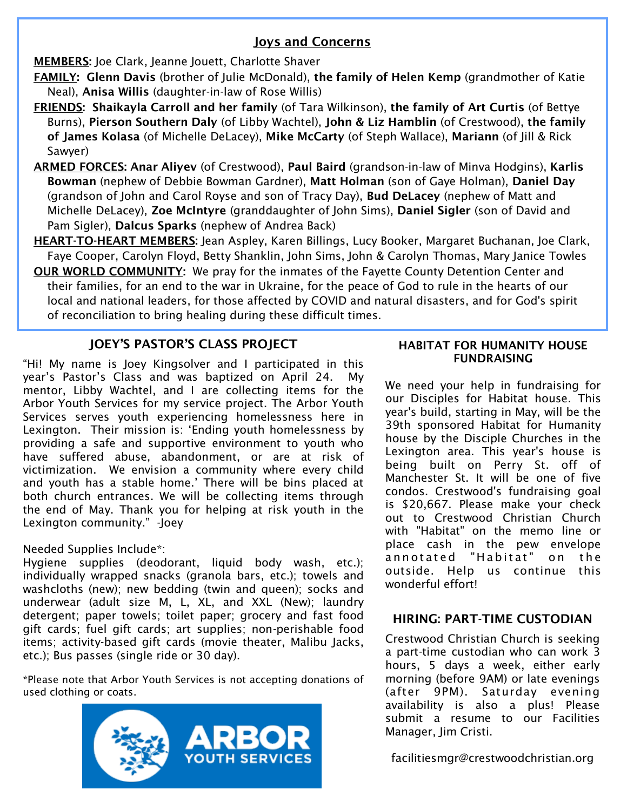### Joys and Concerns

MEMBERS: Joe Clark, Jeanne Jouett, Charlotte Shaver

- FAMILY: Glenn Davis (brother of Julie McDonald), the family of Helen Kemp (grandmother of Katie Neal), Anisa Willis (daughter-in-law of Rose Willis)
- FRIENDS: Shaikayla Carroll and her family (of Tara Wilkinson), the family of Art Curtis (of Bettye Burns), Pierson Southern Daly (of Libby Wachtel), John & Liz Hamblin (of Crestwood), the family of James Kolasa (of Michelle DeLacey), Mike McCarty (of Steph Wallace), Mariann (of Jill & Rick Sawyer)
- ARMED FORCES: Anar Aliyev (of Crestwood), Paul Baird (grandson-in-law of Minva Hodgins), Karlis Bowman (nephew of Debbie Bowman Gardner), Matt Holman (son of Gaye Holman), Daniel Day (grandson of John and Carol Royse and son of Tracy Day), Bud DeLacey (nephew of Matt and Michelle DeLacey), Zoe McIntyre (granddaughter of John Sims), Daniel Sigler (son of David and Pam Sigler), Dalcus Sparks (nephew of Andrea Back)
- HEART-TO-HEART MEMBERS: Jean Aspley, Karen Billings, Lucy Booker, Margaret Buchanan, Joe Clark, Faye Cooper, Carolyn Floyd, Betty Shanklin, John Sims, John & Carolyn Thomas, Mary Janice Towles
- OUR WORLD COMMUNITY: We pray for the inmates of the Fayette County Detention Center and their families, for an end to the war in Ukraine, for the peace of God to rule in the hearts of our local and national leaders, for those affected by COVID and natural disasters, and for God's spirit of reconciliation to bring healing during these difficult times.

### JOEY'S PASTOR'S CLASS PROJECT

"Hi! My name is Joey Kingsolver and I participated in this year's Pastor's Class and was baptized on April 24. My mentor, Libby Wachtel, and I are collecting items for the Arbor Youth Services for my service project. The Arbor Youth Services serves youth experiencing homelessness here in Lexington. Their mission is: 'Ending youth homelessness by providing a safe and supportive environment to youth who have suffered abuse, abandonment, or are at risk of victimization. We envision a community where every child and youth has a stable home.' There will be bins placed at both church entrances. We will be collecting items through the end of May. Thank you for helping at risk youth in the Lexington community." -Joey

### Needed Supplies Include\*:

Hygiene supplies (deodorant, liquid body wash, etc.); individually wrapped snacks (granola bars, etc.); towels and washcloths (new); new bedding (twin and queen); socks and underwear (adult size M, L, XL, and XXL (New); laundry detergent; paper towels; toilet paper; grocery and fast food gift cards; fuel gift cards; art supplies; non-perishable food items; activity-based gift cards (movie theater, Malibu Jacks, etc.); Bus passes (single ride or 30 day).

\*Please note that Arbor Youth Services is not accepting donations of used clothing or coats.



#### HABITAT FOR HUMANITY HOUSE FUNDRAISING

We need your help in fundraising for our Disciples for Habitat house. This year's build, starting in May, will be the 39th sponsored Habitat for Humanity house by the Disciple Churches in the Lexington area. This year's house is being built on Perry St. off of Manchester St. It will be one of five condos. Crestwood's fundraising goal is \$20,667. Please make your check out to Crestwood Christian Church with "Habitat" on the memo line or place cash in the pew envelope annotated "Habitat" on the outside. Help us continue this wonderful effort!

### HIRING: PART-TIME CUSTODIAN

Crestwood Christian Church is seeking a part-time custodian who can work 3 hours, 5 days a week, either early morning (before 9AM) or late evenings (after 9PM). Saturday evening availability is also a plus! Please submit a resume to our Facilities Manager, Jim Cristi.

facilitiesmgr@crestwoodchristian.org